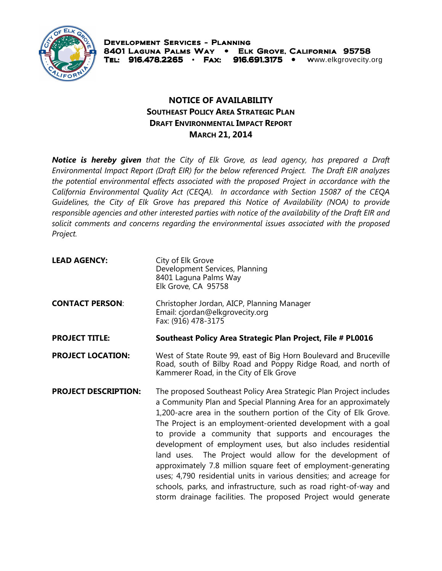

## **NOTICE OF AVAILABILITY SOUTHEAST POLICY AREA STRATEGIC PLAN DRAFT ENVIRONMENTAL IMPACT REPORT MARCH 21, 2014**

*Notice is hereby given that the City of Elk Grove, as lead agency, has prepared a Draft Environmental Impact Report (Draft EIR) for the below referenced Project. The Draft EIR analyzes the potential environmental effects associated with the proposed Project in accordance with the California Environmental Quality Act (CEQA). In accordance with Section 15087 of the CEQA Guidelines, the City of Elk Grove has prepared this Notice of Availability (NOA) to provide responsible agencies and other interested parties with notice of the availability of the Draft EIR and solicit comments and concerns regarding the environmental issues associated with the proposed Project.* 

| <b>LEAD AGENCY:</b>         | City of Elk Grove<br>Development Services, Planning<br>8401 Laguna Palms Way<br>Elk Grove, CA 95758                                                                                                                                                                                                                                                                                                                                                                                                                                                                                                                                                                                                                                                  |
|-----------------------------|------------------------------------------------------------------------------------------------------------------------------------------------------------------------------------------------------------------------------------------------------------------------------------------------------------------------------------------------------------------------------------------------------------------------------------------------------------------------------------------------------------------------------------------------------------------------------------------------------------------------------------------------------------------------------------------------------------------------------------------------------|
| <b>CONTACT PERSON:</b>      | Christopher Jordan, AICP, Planning Manager<br>Email: cjordan@elkgrovecity.org<br>Fax: (916) 478-3175                                                                                                                                                                                                                                                                                                                                                                                                                                                                                                                                                                                                                                                 |
| <b>PROJECT TITLE:</b>       | Southeast Policy Area Strategic Plan Project, File # PL0016                                                                                                                                                                                                                                                                                                                                                                                                                                                                                                                                                                                                                                                                                          |
| <b>PROJECT LOCATION:</b>    | West of State Route 99, east of Big Horn Boulevard and Bruceville<br>Road, south of Bilby Road and Poppy Ridge Road, and north of<br>Kammerer Road, in the City of Elk Grove                                                                                                                                                                                                                                                                                                                                                                                                                                                                                                                                                                         |
| <b>PROJECT DESCRIPTION:</b> | The proposed Southeast Policy Area Strategic Plan Project includes<br>a Community Plan and Special Planning Area for an approximately<br>1,200-acre area in the southern portion of the City of Elk Grove.<br>The Project is an employment-oriented development with a goal<br>to provide a community that supports and encourages the<br>development of employment uses, but also includes residential<br>land uses. The Project would allow for the development of<br>approximately 7.8 million square feet of employment-generating<br>uses; 4,790 residential units in various densities; and acreage for<br>schools, parks, and infrastructure, such as road right-of-way and<br>storm drainage facilities. The proposed Project would generate |